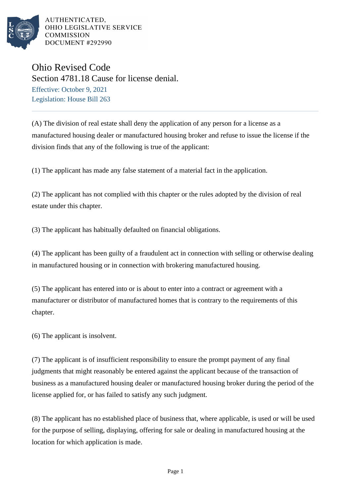

AUTHENTICATED. OHIO LEGISLATIVE SERVICE **COMMISSION** DOCUMENT #292990

Ohio Revised Code Section 4781.18 Cause for license denial. Effective: October 9, 2021 Legislation: House Bill 263

(A) The division of real estate shall deny the application of any person for a license as a manufactured housing dealer or manufactured housing broker and refuse to issue the license if the division finds that any of the following is true of the applicant:

(1) The applicant has made any false statement of a material fact in the application.

(2) The applicant has not complied with this chapter or the rules adopted by the division of real estate under this chapter.

(3) The applicant has habitually defaulted on financial obligations.

(4) The applicant has been guilty of a fraudulent act in connection with selling or otherwise dealing in manufactured housing or in connection with brokering manufactured housing.

(5) The applicant has entered into or is about to enter into a contract or agreement with a manufacturer or distributor of manufactured homes that is contrary to the requirements of this chapter.

(6) The applicant is insolvent.

(7) The applicant is of insufficient responsibility to ensure the prompt payment of any final judgments that might reasonably be entered against the applicant because of the transaction of business as a manufactured housing dealer or manufactured housing broker during the period of the license applied for, or has failed to satisfy any such judgment.

(8) The applicant has no established place of business that, where applicable, is used or will be used for the purpose of selling, displaying, offering for sale or dealing in manufactured housing at the location for which application is made.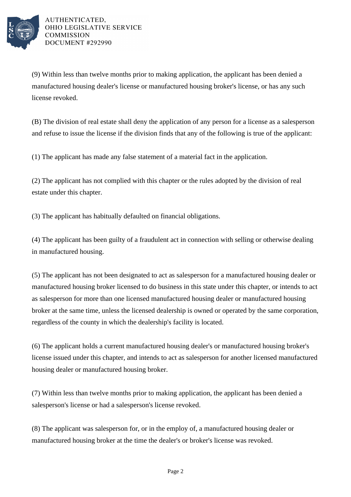

AUTHENTICATED. OHIO LEGISLATIVE SERVICE **COMMISSION** DOCUMENT #292990

(9) Within less than twelve months prior to making application, the applicant has been denied a manufactured housing dealer's license or manufactured housing broker's license, or has any such license revoked.

(B) The division of real estate shall deny the application of any person for a license as a salesperson and refuse to issue the license if the division finds that any of the following is true of the applicant:

(1) The applicant has made any false statement of a material fact in the application.

(2) The applicant has not complied with this chapter or the rules adopted by the division of real estate under this chapter.

(3) The applicant has habitually defaulted on financial obligations.

(4) The applicant has been guilty of a fraudulent act in connection with selling or otherwise dealing in manufactured housing.

(5) The applicant has not been designated to act as salesperson for a manufactured housing dealer or manufactured housing broker licensed to do business in this state under this chapter, or intends to act as salesperson for more than one licensed manufactured housing dealer or manufactured housing broker at the same time, unless the licensed dealership is owned or operated by the same corporation, regardless of the county in which the dealership's facility is located.

(6) The applicant holds a current manufactured housing dealer's or manufactured housing broker's license issued under this chapter, and intends to act as salesperson for another licensed manufactured housing dealer or manufactured housing broker.

(7) Within less than twelve months prior to making application, the applicant has been denied a salesperson's license or had a salesperson's license revoked.

(8) The applicant was salesperson for, or in the employ of, a manufactured housing dealer or manufactured housing broker at the time the dealer's or broker's license was revoked.